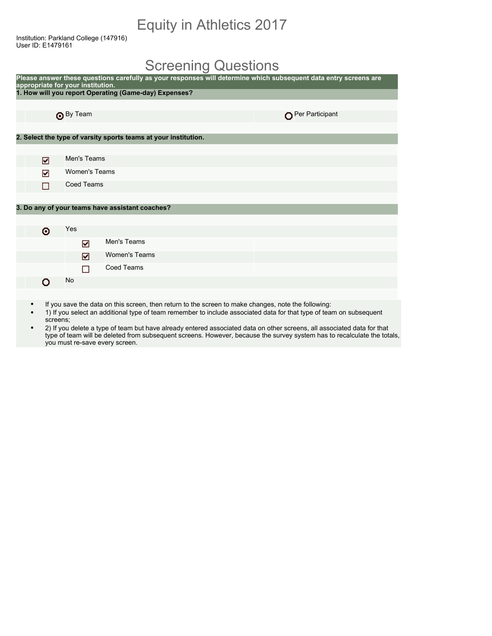## Equity in Athletics 2017

Institution: Parkland College (147916) User ID: E1479161

### Screening Questions

| appropriate for your institution. |                      | Please answer these questions carefully as your responses will determine which subsequent data entry screens are |                 |
|-----------------------------------|----------------------|------------------------------------------------------------------------------------------------------------------|-----------------|
|                                   |                      | 1. How will you report Operating (Game-day) Expenses?                                                            |                 |
|                                   |                      |                                                                                                                  |                 |
|                                   | <b>O</b> By Team     |                                                                                                                  | Per Participant |
|                                   |                      |                                                                                                                  |                 |
|                                   |                      | 2. Select the type of varsity sports teams at your institution.                                                  |                 |
|                                   |                      |                                                                                                                  |                 |
| ☑                                 | Men's Teams          |                                                                                                                  |                 |
| ☑                                 | <b>Women's Teams</b> |                                                                                                                  |                 |
|                                   | <b>Coed Teams</b>    |                                                                                                                  |                 |
|                                   |                      |                                                                                                                  |                 |
|                                   |                      | 3. Do any of your teams have assistant coaches?                                                                  |                 |
|                                   |                      |                                                                                                                  |                 |
| ⊙                                 | Yes                  |                                                                                                                  |                 |
|                                   | ☑                    | Men's Teams                                                                                                      |                 |
|                                   | ☑                    | <b>Women's Teams</b>                                                                                             |                 |
|                                   | □                    | <b>Coed Teams</b>                                                                                                |                 |
| n                                 | No                   |                                                                                                                  |                 |
|                                   |                      |                                                                                                                  |                 |

- If you save the data on this screen, then return to the screen to make changes, note the following:
- 1) If you select an additional type of team remember to include associated data for that type of team on subsequent screens;
- 2) If you delete a type of team but have already entered associated data on other screens, all associated data for that type of team will be deleted from subsequent screens. However, because the survey system has to recalculate the totals, you must re-save every screen.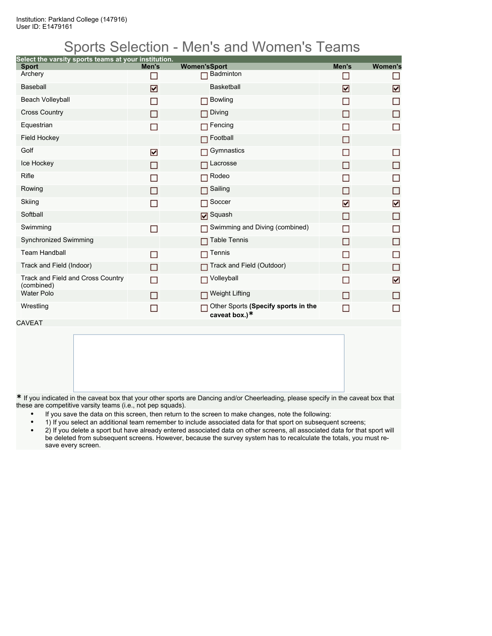## Sports Selection - Men's and Women's Teams

| Select the varsity sports teams at your institution. |                |                                                         |                |                |
|------------------------------------------------------|----------------|---------------------------------------------------------|----------------|----------------|
| <b>Sport</b>                                         | Men's          | <b>Women'sSport</b>                                     | Men's          | <b>Women's</b> |
| Archery                                              |                | <b>Badminton</b>                                        |                | П              |
| <b>Baseball</b>                                      | ☑              | <b>Basketball</b>                                       | ☑              | ☑              |
| Beach Volleyball                                     |                | <b>Bowling</b>                                          |                | П              |
| <b>Cross Country</b>                                 | H              | Diving                                                  | ΙI             | □              |
| Equestrian                                           | П              | Fencing                                                 |                | $\Box$         |
| <b>Field Hockey</b>                                  |                | Football                                                | П              |                |
| Golf                                                 | ☑              | Gymnastics                                              |                | П              |
| Ice Hockey                                           | H              | Lacrosse                                                | $\Box$         | □              |
| Rifle                                                |                | Rodeo                                                   |                | П              |
| Rowing                                               | ш              | Sailing<br>П                                            | П              | □              |
| Skiing                                               | П              | Soccer                                                  | ☑              | ☑              |
| Softball                                             |                | <b>D</b> Squash                                         | П              | $\Box$         |
| Swimming                                             | ▛              | Swimming and Diving (combined)                          | $\blacksquare$ | □              |
| <b>Synchronized Swimming</b>                         |                | <b>Table Tennis</b>                                     | П              | П              |
| <b>Team Handball</b>                                 | $\blacksquare$ | Tennis                                                  |                | П              |
| Track and Field (Indoor)                             | П              | Track and Field (Outdoor)                               | П              | $\Box$         |
| Track and Field and Cross Country<br>(combined)      | П              | Volleyball<br>п                                         | П              | ☑              |
| <b>Water Polo</b>                                    | П              | <b>Weight Lifting</b><br>П                              |                | П              |
| Wrestling                                            | П              | Other Sports (Specify sports in the<br>caveat box.) $*$ | <b>Talent</b>  | П              |

CAVEAT

**\*** If you indicated in the caveat box that your other sports are Dancing and/or Cheerleading, please specify in the caveat box that these are competitive varsity teams (i.e., not pep squads).

- If you save the data on this screen, then return to the screen to make changes, note the following:
- 1) If you select an additional team remember to include associated data for that sport on subsequent screens;
- 2) If you delete a sport but have already entered associated data on other screens, all associated data for that sport will be deleted from subsequent screens. However, because the survey system has to recalculate the totals, you must resave every screen.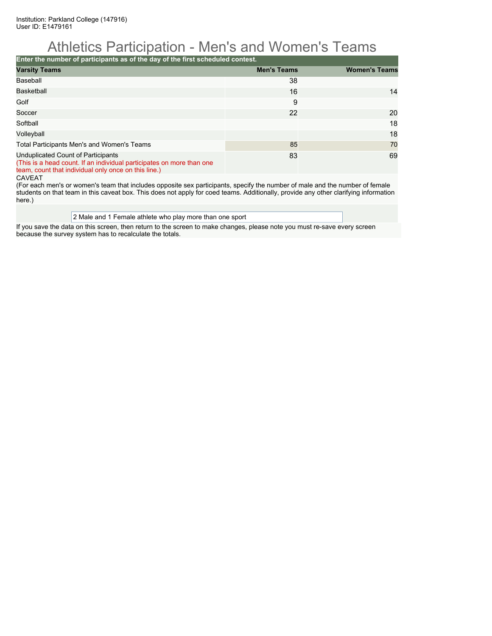## Athletics Participation - Men's and Women's Teams

**Enter the number of participants as of the day of the first scheduled contest.**

| <b>Varsity Teams</b>                                                                                                                                                | <b>Men's Teams</b> | <b>Women's Teams</b> |
|---------------------------------------------------------------------------------------------------------------------------------------------------------------------|--------------------|----------------------|
| Baseball                                                                                                                                                            | 38                 |                      |
| <b>Basketball</b>                                                                                                                                                   | 16                 | 14                   |
| Golf                                                                                                                                                                | 9                  |                      |
| Soccer                                                                                                                                                              | 22                 | 20                   |
| Softball                                                                                                                                                            |                    | 18                   |
| Volleyball                                                                                                                                                          |                    | 18                   |
| Total Participants Men's and Women's Teams                                                                                                                          | 85                 | 70                   |
| Unduplicated Count of Participants<br>(This is a head count. If an individual participates on more than one<br>team, count that individual only once on this line.) | 83                 | 69                   |

CAVEAT

(For each men's or women's team that includes opposite sex participants, specify the number of male and the number of female students on that team in this caveat box. This does not apply for coed teams. Additionally, provide any other clarifying information here.)

#### 2 Male and 1 Female athlete who play more than one sport

If you save the data on this screen, then return to the screen to make changes, please note you must re-save every screen because the survey system has to recalculate the totals.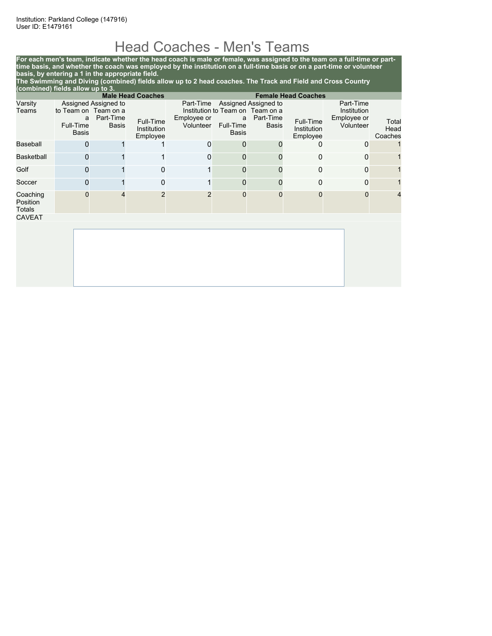## Head Coaches - Men's Teams

**For each men's team, indicate whether the head coach is male or female, was assigned to the team on a full-time or parttime basis, and whether the coach was employed by the institution on a full-time basis or on a part-time or volunteer basis, by entering a 1 in the appropriate field.**

**The Swimming and Diving (combined) fields allow up to 2 head coaches. The Track and Field and Cross Country (combined) fields allow up to 3.**

|                                | <b>Male Head Coaches</b><br><b>Female Head Coaches</b> |                                                                           |                                      |                                       |                         |                                                                                       |                                      |                                                      |                          |
|--------------------------------|--------------------------------------------------------|---------------------------------------------------------------------------|--------------------------------------|---------------------------------------|-------------------------|---------------------------------------------------------------------------------------|--------------------------------------|------------------------------------------------------|--------------------------|
| Varsity<br>Teams               | a<br>Full-Time<br>Basis                                | Assigned Assigned to<br>to Team on Team on a<br>Part-Time<br><b>Basis</b> | Full-Time<br>Institution<br>Employee | Part-Time<br>Employee or<br>Volunteer | a<br>Full-Time<br>Basis | Assigned Assigned to<br>Institution to Team on Team on a<br>Part-Time<br><b>Basis</b> | Full-Time<br>Institution<br>Employee | Part-Time<br>Institution<br>Employee or<br>Volunteer | Total<br>Head<br>Coaches |
| Baseball                       |                                                        |                                                                           |                                      | 0                                     | 0                       | O                                                                                     | 0                                    | $\Omega$                                             |                          |
| <b>Basketball</b>              | 0                                                      |                                                                           | 1                                    | 0                                     | 0                       |                                                                                       | 0                                    | $\Omega$                                             |                          |
| Golf                           |                                                        |                                                                           | 0                                    |                                       | $\mathbf{0}$            |                                                                                       | 0                                    | $\mathbf{0}$                                         |                          |
| Soccer                         | O                                                      |                                                                           | $\mathbf 0$                          | 1                                     | 0                       |                                                                                       | 0                                    | $\Omega$                                             |                          |
| Coaching<br>Position<br>Totals | $\Omega$                                               |                                                                           | $\overline{2}$                       | $\overline{2}$                        | $\mathbf 0$             | 0                                                                                     | O                                    | $\mathbf 0$                                          | $\overline{4}$           |
| <b>CAVEAT</b>                  |                                                        |                                                                           |                                      |                                       |                         |                                                                                       |                                      |                                                      |                          |
|                                |                                                        |                                                                           |                                      |                                       |                         |                                                                                       |                                      |                                                      |                          |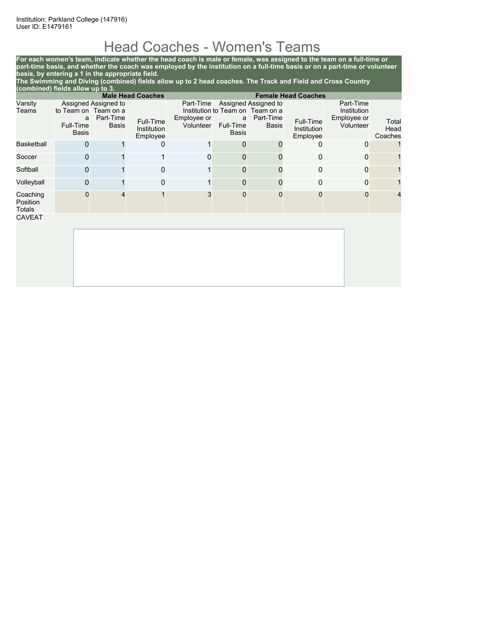# Head Coaches - Women's Teams

**For each women's team, indicate whether the head coach is male or female, was assigned to the team on a full-time or part-time basis, and whether the coach was employed by the institution on a full-time basis or on a part-time or volunteer basis, by entering a 1 in the appropriate field.**

**The Swimming and Diving (combined) fields allow up to 2 head coaches. The Track and Field and Cross Country (combined) fields allow up to 3.**

|                                | <b>Female Head Coaches</b><br><b>Male Head Coaches</b> |                                                                    |                                      |                                       |                         |                                                                                |                                      |                                                      |                          |
|--------------------------------|--------------------------------------------------------|--------------------------------------------------------------------|--------------------------------------|---------------------------------------|-------------------------|--------------------------------------------------------------------------------|--------------------------------------|------------------------------------------------------|--------------------------|
| Varsity<br>Teams               | a<br>Full-Time<br><b>Basis</b>                         | Assigned Assigned to<br>to Team on Team on a<br>Part-Time<br>Basis | Full-Time<br>Institution<br>Employee | Part-Time<br>Employee or<br>Volunteer | a<br>Full-Time<br>Basis | Assigned Assigned to<br>Institution to Team on Team on a<br>Part-Time<br>Basis | Full-Time<br>Institution<br>Employee | Part-Time<br>Institution<br>Employee or<br>Volunteer | Total<br>Head<br>Coaches |
| <b>Basketball</b>              | n                                                      |                                                                    | 0                                    | 1                                     | 0                       | O                                                                              | 0                                    | 0                                                    |                          |
| Soccer                         | O                                                      |                                                                    |                                      | 0                                     | $\mathbf{0}$            |                                                                                | $\Omega$                             | 0                                                    |                          |
| Softball                       |                                                        |                                                                    | 0                                    |                                       | $\mathbf 0$             |                                                                                | 0                                    | 0                                                    |                          |
| Volleyball                     | O                                                      |                                                                    | 0                                    |                                       | $\mathbf{0}$            |                                                                                | 0                                    | 0                                                    |                          |
| Coaching<br>Position<br>Totals |                                                        |                                                                    |                                      | 3                                     | $\mathbf 0$             | 0                                                                              | 0                                    | 0                                                    | 4                        |
| <b>CAVEAT</b>                  |                                                        |                                                                    |                                      |                                       |                         |                                                                                |                                      |                                                      |                          |
|                                |                                                        |                                                                    |                                      |                                       |                         |                                                                                |                                      |                                                      |                          |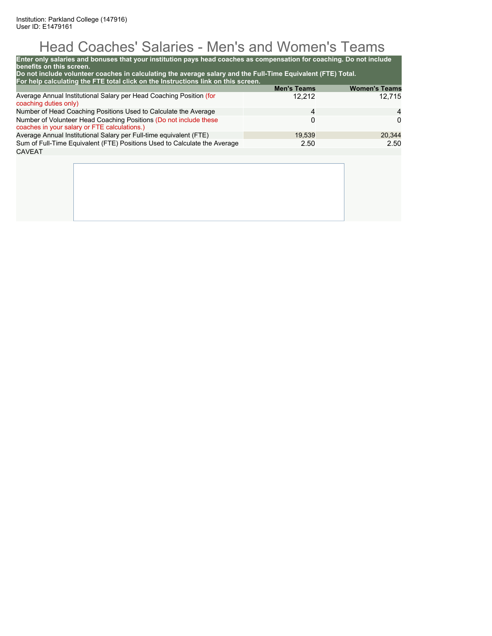# Head Coaches' Salaries - Men's and Women's Teams

| Enter only salaries and bonuses that your institution pays head coaches as compensation for coaching. Do not include<br>benefits on this screen.<br>Do not include volunteer coaches in calculating the average salary and the Full-Time Equivalent (FTE) Total.<br>For help calculating the FTE total click on the Instructions link on this screen. |                    |                      |
|-------------------------------------------------------------------------------------------------------------------------------------------------------------------------------------------------------------------------------------------------------------------------------------------------------------------------------------------------------|--------------------|----------------------|
|                                                                                                                                                                                                                                                                                                                                                       | <b>Men's Teams</b> | <b>Women's Teams</b> |
| Average Annual Institutional Salary per Head Coaching Position (for<br>coaching duties only)                                                                                                                                                                                                                                                          | 12,212             | 12.715               |
| Number of Head Coaching Positions Used to Calculate the Average                                                                                                                                                                                                                                                                                       | 4                  | 4                    |
| Number of Volunteer Head Coaching Positions (Do not include these<br>coaches in your salary or FTE calculations.)                                                                                                                                                                                                                                     | 0                  | 0                    |
| Average Annual Institutional Salary per Full-time equivalent (FTE)                                                                                                                                                                                                                                                                                    | 19,539             | 20,344               |
| Sum of Full-Time Equivalent (FTE) Positions Used to Calculate the Average                                                                                                                                                                                                                                                                             | 2.50               | 2.50                 |
| CAVEAT                                                                                                                                                                                                                                                                                                                                                |                    |                      |
|                                                                                                                                                                                                                                                                                                                                                       |                    |                      |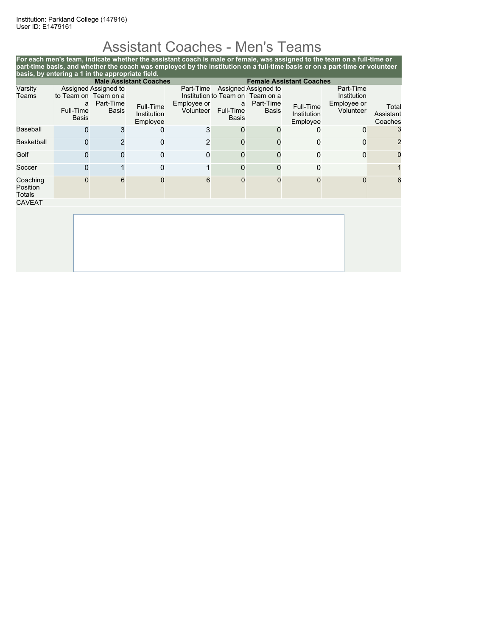# Assistant Coaches - Men's Teams

|                                | basis, by entering a 1 in the appropriate field. |                                                   |                                      | For each men's team, indicate whether the assistant coach is male or female, was assigned to the team on a full-time or<br>part-time basis, and whether the coach was employed by the institution on a full-time basis or on a part-time or volunteer |                                |                                                                                       |                                      |                                                      |                               |
|--------------------------------|--------------------------------------------------|---------------------------------------------------|--------------------------------------|-------------------------------------------------------------------------------------------------------------------------------------------------------------------------------------------------------------------------------------------------------|--------------------------------|---------------------------------------------------------------------------------------|--------------------------------------|------------------------------------------------------|-------------------------------|
|                                |                                                  |                                                   | <b>Male Assistant Coaches</b>        |                                                                                                                                                                                                                                                       |                                |                                                                                       | <b>Female Assistant Coaches</b>      |                                                      |                               |
| Varsity<br>Teams               | to Team on Team on a<br>a<br>Full-Time<br>Basis  | Assigned Assigned to<br>Part-Time<br><b>Basis</b> | Full-Time<br>Institution<br>Employee | Part-Time<br>Employee or<br>Volunteer                                                                                                                                                                                                                 | a<br>Full-Time<br><b>Basis</b> | Assigned Assigned to<br>Institution to Team on Team on a<br>Part-Time<br><b>Basis</b> | Full-Time<br>Institution<br>Employee | Part-Time<br>Institution<br>Employee or<br>Volunteer | Total<br>Assistant<br>Coaches |
| <b>Baseball</b>                | 0                                                | 3                                                 | 0                                    | 3                                                                                                                                                                                                                                                     | 0                              |                                                                                       |                                      | 0                                                    | 3                             |
| <b>Basketball</b>              | 0                                                |                                                   | 0                                    | $\overline{2}$                                                                                                                                                                                                                                        | 0                              |                                                                                       | $\Omega$                             | 0                                                    | 2                             |
| Golf                           | 0                                                |                                                   | $\Omega$                             | $\Omega$                                                                                                                                                                                                                                              | 0                              |                                                                                       | $\Omega$                             | 0                                                    | 0                             |
| Soccer                         | 0                                                |                                                   | 0                                    |                                                                                                                                                                                                                                                       | 0                              |                                                                                       | 0                                    |                                                      |                               |
| Coaching<br>Position<br>Totals | 0                                                | 6                                                 | 0                                    | 6                                                                                                                                                                                                                                                     | 0                              | 0                                                                                     | $\Omega$                             | $\Omega$                                             | 6                             |
| <b>CAVEAT</b>                  |                                                  |                                                   |                                      |                                                                                                                                                                                                                                                       |                                |                                                                                       |                                      |                                                      |                               |
|                                |                                                  |                                                   |                                      |                                                                                                                                                                                                                                                       |                                |                                                                                       |                                      |                                                      |                               |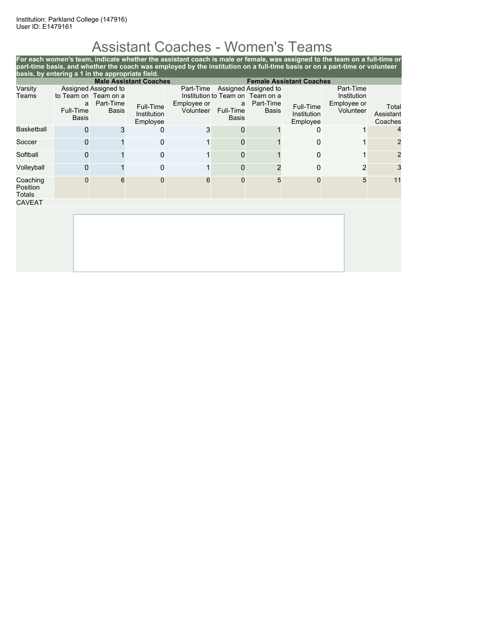# Assistant Coaches - Women's Teams

**For each women's team, indicate whether the assistant coach is male or female, was assigned to the team on a full-time or part-time basis, and whether the coach was employed by the institution on a full-time basis or on a part-time or volunteer basis, by entering a 1 in the appropriate field. Male Assistant Coaches Female Assistant Coaches** Varsity Teams Assigned Assigned to to Team on Team on a a Part-Time Full-Time Basis Basis Full-Time Institution Employee Part-Time Assigned Assigned to Institution to Team on Team on a Employee or Volunteer a Part-Time Full-Time Basis Basis Full-Time Institution Employee Part-Time Institution Employee or ployee or<br>Volunteer Assistant Assistant Coaches Basketball 0 3 0 3 0 1 0 1 4 Soccer 0 1 0 1 0 1 0 1 2 Softball 0 1 0 1 0 1 2 Volleyball 0 1 0 1 0 2 0 2 3 Coaching Position Totals 0 6 0 6 0 5 0 5 11 CAVEAT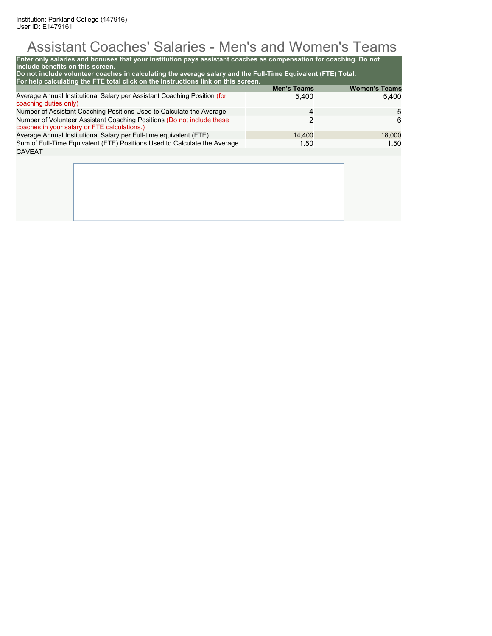# Assistant Coaches' Salaries - Men's and Women's Teams

| Enter only salaries and bonuses that your institution pays assistant coaches as compensation for coaching. Do not<br>include benefits on this screen.<br>Do not include volunteer coaches in calculating the average salary and the Full-Time Equivalent (FTE) Total.<br>For help calculating the FTE total click on the Instructions link on this screen. |                             |                               |
|------------------------------------------------------------------------------------------------------------------------------------------------------------------------------------------------------------------------------------------------------------------------------------------------------------------------------------------------------------|-----------------------------|-------------------------------|
| Average Annual Institutional Salary per Assistant Coaching Position (for                                                                                                                                                                                                                                                                                   | <b>Men's Teams</b><br>5.400 | <b>Women's Teams</b><br>5.400 |
| coaching duties only)<br>Number of Assistant Coaching Positions Used to Calculate the Average                                                                                                                                                                                                                                                              | 4                           | 5                             |
| Number of Volunteer Assistant Coaching Positions (Do not include these<br>coaches in your salary or FTE calculations.)                                                                                                                                                                                                                                     | 2                           | 6                             |
| Average Annual Institutional Salary per Full-time equivalent (FTE)                                                                                                                                                                                                                                                                                         | 14.400                      | 18,000                        |
| Sum of Full-Time Equivalent (FTE) Positions Used to Calculate the Average                                                                                                                                                                                                                                                                                  | 1.50                        | 1.50                          |
| <b>CAVEAT</b>                                                                                                                                                                                                                                                                                                                                              |                             |                               |
|                                                                                                                                                                                                                                                                                                                                                            |                             |                               |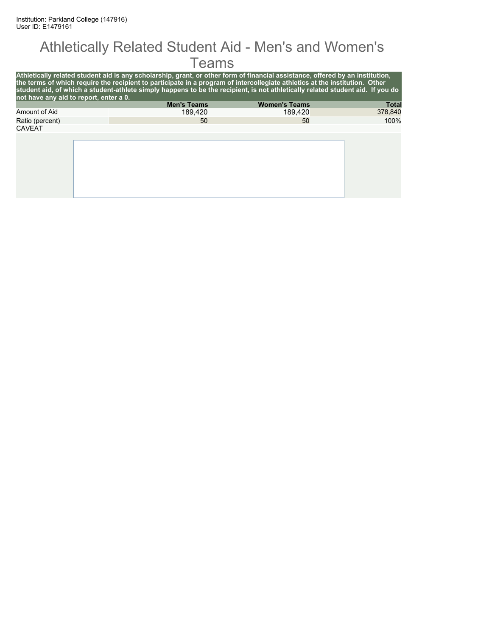#### Athletically Related Student Aid - Men's and Women's **Teams**

| not have any aid to report, enter a 0. | Athletically related student aid is any scholarship, grant, or other form of financial assistance, offered by an institution,<br>the terms of which require the recipient to participate in a program of intercollegiate athletics at the institution. Other<br>student aid, of which a student-athlete simply happens to be the recipient, is not athletically related student aid. If you do |                      |              |
|----------------------------------------|------------------------------------------------------------------------------------------------------------------------------------------------------------------------------------------------------------------------------------------------------------------------------------------------------------------------------------------------------------------------------------------------|----------------------|--------------|
|                                        | <b>Men's Teams</b>                                                                                                                                                                                                                                                                                                                                                                             | <b>Women's Teams</b> | <b>Total</b> |
| Amount of Aid                          | 189.420                                                                                                                                                                                                                                                                                                                                                                                        | 189.420              | 378,840      |
| Ratio (percent)                        | 50                                                                                                                                                                                                                                                                                                                                                                                             | 50                   | 100%         |
| <b>CAVEAT</b>                          |                                                                                                                                                                                                                                                                                                                                                                                                |                      |              |
|                                        |                                                                                                                                                                                                                                                                                                                                                                                                |                      |              |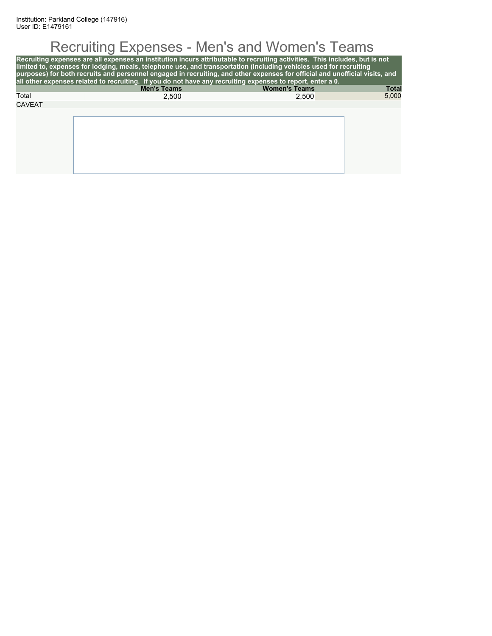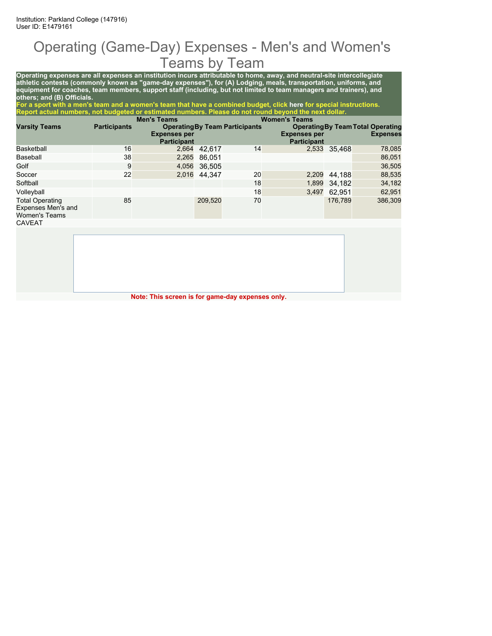#### Operating (Game-Day) Expenses - Men's and Women's Teams by Team

**Operating expenses are all expenses an institution incurs attributable to home, away, and neutral-site intercollegiate athletic contests (commonly known as "game-day expenses"), for (A) Lodging, meals, transportation, uniforms, and equipment for coaches, team members, support staff (including, but not limited to team managers and trainers), and others; and (B) Officials.**

**For a sport with a men's team and a women's team that have a combined budget, click here for special instructions. Report actual numbers, not budgeted or estimated numbers. Please do not round beyond the next dollar.**

|                                                                      |                     | <b>Men's Teams</b>                        |              |                                       | <b>Women's Teams</b>                      |              |                                                             |
|----------------------------------------------------------------------|---------------------|-------------------------------------------|--------------|---------------------------------------|-------------------------------------------|--------------|-------------------------------------------------------------|
| <b>Varsity Teams</b>                                                 | <b>Participants</b> | <b>Expenses per</b><br><b>Participant</b> |              | <b>Operating By Team Participants</b> | <b>Expenses per</b><br><b>Participant</b> |              | <b>Operating By Team Total Operating</b><br><b>Expenses</b> |
| Basketball                                                           | 16                  |                                           | 2,664 42.617 | 14                                    |                                           | 2,533 35.468 | 78,085                                                      |
| Baseball                                                             | 38                  | 2,265                                     | 86.051       |                                       |                                           |              | 86,051                                                      |
| Golf                                                                 | 9                   | 4,056                                     | 36.505       |                                       |                                           |              | 36,505                                                      |
| Soccer                                                               | 22                  |                                           | 2,016 44.347 | 20                                    | 2,209                                     | 44,188       | 88,535                                                      |
| Softball                                                             |                     |                                           |              | 18                                    |                                           | 1,899 34,182 | 34,182                                                      |
| Volleyball                                                           |                     |                                           |              | 18                                    | 3,497                                     | 62.951       | 62,951                                                      |
| <b>Total Operating</b><br>Expenses Men's and<br><b>Women's Teams</b> | 85                  |                                           | 209,520      | 70                                    |                                           | 176.789      | 386,309                                                     |
| CAVEAT                                                               |                     |                                           |              |                                       |                                           |              |                                                             |

**Note: This screen is for game-day expenses only.**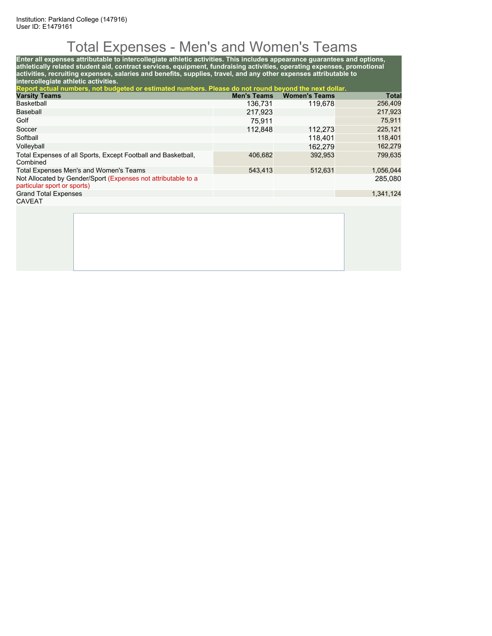# Total Expenses - Men's and Women's Teams

**Enter all expenses attributable to intercollegiate athletic activities. This includes appearance guarantees and options, athletically related student aid, contract services, equipment, fundraising activities, operating expenses, promotional activities, recruiting expenses, salaries and benefits, supplies, travel, and any other expenses attributable to intercollegiate athletic activities. Report actual numbers, not budgeted or estimated numbers. Please do not round beyond the next dollar. Varsity Teams Men's Teams Women's Teams Total** Basketball 136,731 119,678 256,409 Baseball 217,923 217,923

| Golf                                                                                         | 75.911  |         | 75,911    |
|----------------------------------------------------------------------------------------------|---------|---------|-----------|
| Soccer                                                                                       | 112,848 | 112.273 | 225,121   |
| Softball                                                                                     |         | 118.401 | 118,401   |
| Volleyball                                                                                   |         | 162.279 | 162,279   |
| Total Expenses of all Sports, Except Football and Basketball,<br>Combined                    | 406,682 | 392,953 | 799,635   |
| Total Expenses Men's and Women's Teams                                                       | 543.413 | 512,631 | 1,056,044 |
| Not Allocated by Gender/Sport (Expenses not attributable to a<br>particular sport or sports) |         |         | 285,080   |
| <b>Grand Total Expenses</b>                                                                  |         |         | 1,341,124 |
| <b>CAVEAT</b>                                                                                |         |         |           |
|                                                                                              |         |         |           |
|                                                                                              |         |         |           |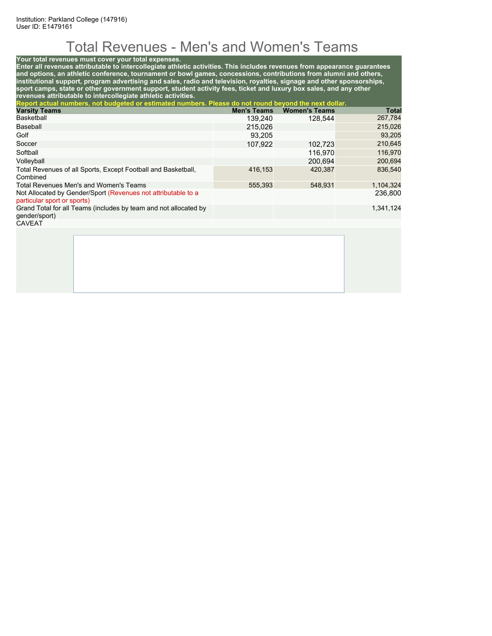# Total Revenues - Men's and Women's Teams

#### **Your total revenues must cover your total expenses.**

**Enter all revenues attributable to intercollegiate athletic activities. This includes revenues from appearance guarantees and options, an athletic conference, tournament or bowl games, concessions, contributions from alumni and others, institutional support, program advertising and sales, radio and television, royalties, signage and other sponsorships, sport camps, state or other government support, student activity fees, ticket and luxury box sales, and any other revenues attributable to intercollegiate athletic activities.**

| Report actual numbers, not budgeted or estimated numbers. Please do not round beyond the next dollar. |                    |                      |           |
|-------------------------------------------------------------------------------------------------------|--------------------|----------------------|-----------|
| <b>Varsity Teams</b>                                                                                  | <b>Men's Teams</b> | <b>Women's Teams</b> | Total     |
| Basketball                                                                                            | 139,240            | 128,544              | 267,784   |
| Baseball                                                                                              | 215.026            |                      | 215,026   |
| Golf                                                                                                  | 93.205             |                      | 93,205    |
| Soccer                                                                                                | 107.922            | 102.723              | 210,645   |
| Softball                                                                                              |                    | 116.970              | 116,970   |
| Volleyball                                                                                            |                    | 200.694              | 200,694   |
| Total Revenues of all Sports, Except Football and Basketball,<br>Combined                             | 416.153            | 420.387              | 836.540   |
| Total Revenues Men's and Women's Teams                                                                | 555.393            | 548.931              | 1,104,324 |
| Not Allocated by Gender/Sport (Revenues not attributable to a<br>particular sport or sports)          |                    |                      | 236,800   |
| Grand Total for all Teams (includes by team and not allocated by<br>qender/sport)                     |                    |                      | 1,341,124 |
| <b>CAVEAT</b>                                                                                         |                    |                      |           |
|                                                                                                       |                    |                      |           |
|                                                                                                       |                    |                      |           |
|                                                                                                       |                    |                      |           |
|                                                                                                       |                    |                      |           |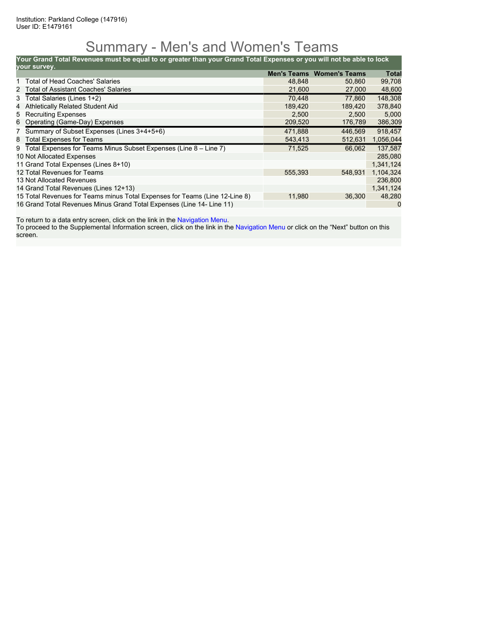### Summary - Men's and Women's Teams

**Your Grand Total Revenues must be equal to or greater than your Grand Total Expenses or you will not be able to lock**

| vour survey.                                                                |         |                                  |              |
|-----------------------------------------------------------------------------|---------|----------------------------------|--------------|
|                                                                             |         | <b>Men's Teams Women's Teams</b> | <b>Total</b> |
| 1 Total of Head Coaches' Salaries                                           | 48.848  | 50.860                           | 99,708       |
| 2 Total of Assistant Coaches' Salaries                                      | 21,600  | 27,000                           | 48,600       |
| 3 Total Salaries (Lines 1+2)                                                | 70.448  | 77.860                           | 148,308      |
| Athletically Related Student Aid<br>4                                       | 189,420 | 189.420                          | 378,840      |
| 5 Recruiting Expenses                                                       | 2.500   | 2,500                            | 5,000        |
| 6 Operating (Game-Day) Expenses                                             | 209,520 | 176,789                          | 386,309      |
| 7 Summary of Subset Expenses (Lines 3+4+5+6)                                | 471.888 | 446.569                          | 918.457      |
| 8 Total Expenses for Teams                                                  | 543,413 | 512,631                          | 1,056,044    |
| 9 Total Expenses for Teams Minus Subset Expenses (Line 8 – Line 7)          | 71,525  | 66.062                           | 137.587      |
| 10 Not Allocated Expenses                                                   |         |                                  | 285,080      |
| 11 Grand Total Expenses (Lines 8+10)                                        |         |                                  | 1,341,124    |
| 12 Total Revenues for Teams                                                 | 555,393 | 548.931                          | 1,104,324    |
| 13 Not Allocated Revenues                                                   |         |                                  | 236,800      |
| 14 Grand Total Revenues (Lines 12+13)                                       |         |                                  | 1,341,124    |
| 15 Total Revenues for Teams minus Total Expenses for Teams (Line 12-Line 8) | 11,980  | 36,300                           | 48,280       |
| 16 Grand Total Revenues Minus Grand Total Expenses (Line 14- Line 11)       |         |                                  | 0            |

To return to a data entry screen, click on the link in the Navigation Menu.

To proceed to the Supplemental Information screen, click on the link in the Navigation Menu or click on the "Next" button on this screen.